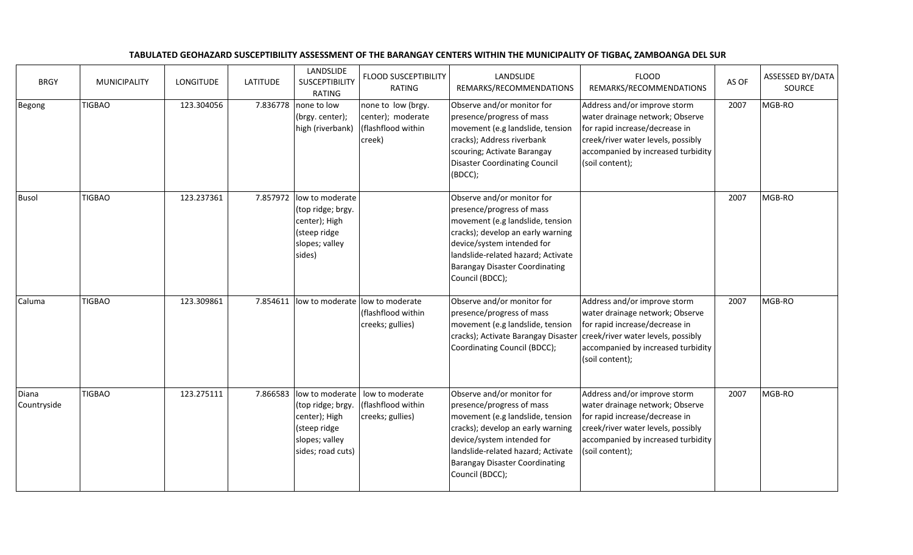| <b>BRGY</b>          | <b>MUNICIPALITY</b> | <b>LONGITUDE</b> | <b>LATITUDE</b> | LANDSLIDE<br><b>SUSCEPTIBILITY</b><br>RATING                                                                 | <b>FLOOD SUSCEPTIBILITY</b><br>RATING                                     | LANDSLIDE<br>REMARKS/RECOMMENDATIONS                                                                                                                                                                                                                             | <b>FLOOD</b><br>REMARKS/RECOMMENDATIONS                                                                                                                                                          | AS OF | ASSESSED BY/DATA<br>SOURCE |
|----------------------|---------------------|------------------|-----------------|--------------------------------------------------------------------------------------------------------------|---------------------------------------------------------------------------|------------------------------------------------------------------------------------------------------------------------------------------------------------------------------------------------------------------------------------------------------------------|--------------------------------------------------------------------------------------------------------------------------------------------------------------------------------------------------|-------|----------------------------|
| Begong               | <b>TIGBAO</b>       | 123.304056       | 7.836778        | none to low<br>(brgy. center);<br>high (riverbank)                                                           | none to low (brgy.<br>center); moderate<br>(flashflood within<br>creek)   | Observe and/or monitor for<br>presence/progress of mass<br>movement (e.g landslide, tension<br>cracks); Address riverbank<br>scouring; Activate Barangay<br><b>Disaster Coordinating Council</b><br>(BDCC);                                                      | Address and/or improve storm<br>water drainage network; Observe<br>for rapid increase/decrease in<br>creek/river water levels, possibly<br>accompanied by increased turbidity<br>(soil content); | 2007  | MGB-RO                     |
| <b>Busol</b>         | <b>TIGBAO</b>       | 123.237361       | 7.857972        | low to moderate<br>(top ridge; brgy.<br>center); High<br>(steep ridge<br>slopes; valley<br>sides)            |                                                                           | Observe and/or monitor for<br>presence/progress of mass<br>movement (e.g landslide, tension<br>cracks); develop an early warning<br>device/system intended for<br>landslide-related hazard; Activate<br><b>Barangay Disaster Coordinating</b><br>Council (BDCC); |                                                                                                                                                                                                  | 2007  | MGB-RO                     |
| Caluma               | <b>TIGBAO</b>       | 123.309861       | 7.854611        |                                                                                                              | low to moderate low to moderate<br>(flashflood within<br>creeks; gullies) | Observe and/or monitor for<br>presence/progress of mass<br>movement (e.g landslide, tension<br>cracks); Activate Barangay Disaster<br>Coordinating Council (BDCC);                                                                                               | Address and/or improve storm<br>water drainage network; Observe<br>for rapid increase/decrease in<br>creek/river water levels, possibly<br>accompanied by increased turbidity<br>(soil content); | 2007  | MGB-RO                     |
| Diana<br>Countryside | <b>TIGBAO</b>       | 123.275111       | 7.866583        | low to moderate<br>(top ridge; brgy.<br>center); High<br>(steep ridge<br>slopes; valley<br>sides; road cuts) | low to moderate<br>(flashflood within<br>creeks; gullies)                 | Observe and/or monitor for<br>presence/progress of mass<br>movement (e.g landslide, tension<br>cracks); develop an early warning<br>device/system intended for<br>landslide-related hazard; Activate<br><b>Barangay Disaster Coordinating</b><br>Council (BDCC); | Address and/or improve storm<br>water drainage network; Observe<br>for rapid increase/decrease in<br>creek/river water levels, possibly<br>accompanied by increased turbidity<br>(soil content); | 2007  | MGB-RO                     |

## TABULATED GEOHAZARD SUSCEPTIBILITY ASSESSMENT OF THE BARANGAY CENTERS WITHIN THE MUNICIPALITY OF TIGBAC, ZAMBOANGA DEL SUR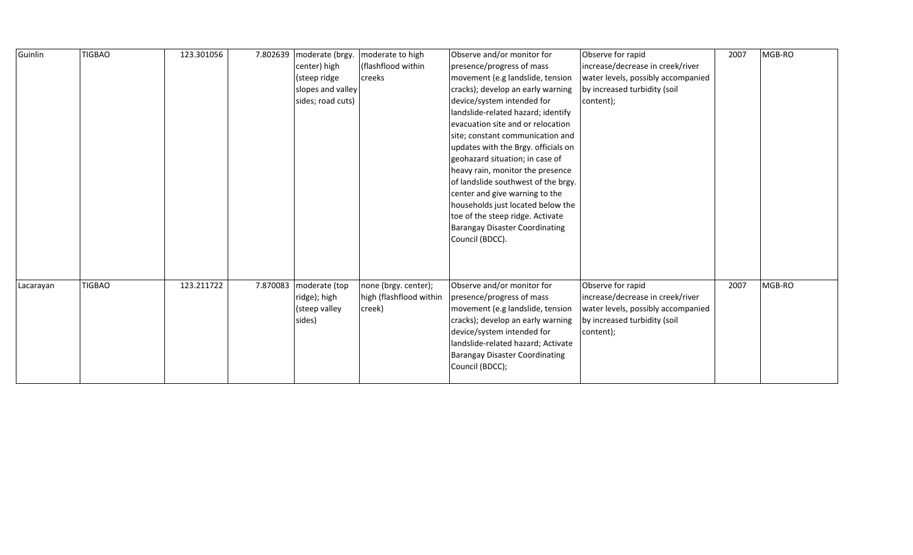| Guinlin   | <b>TIGBAO</b> | 123.301056 |          | 7.802639 moderate (brgy.<br>center) high<br>(steep ridge | moderate to high<br>(flashflood within<br>creeks          | Observe and/or monitor for<br>presence/progress of mass<br>movement (e.g landslide, tension                                                                                                                                                                      | Observe for rapid<br>increase/decrease in creek/river<br>water levels, possibly accompanied                                              | 2007 | MGB-RO |
|-----------|---------------|------------|----------|----------------------------------------------------------|-----------------------------------------------------------|------------------------------------------------------------------------------------------------------------------------------------------------------------------------------------------------------------------------------------------------------------------|------------------------------------------------------------------------------------------------------------------------------------------|------|--------|
|           |               |            |          | slopes and valley                                        |                                                           | cracks); develop an early warning                                                                                                                                                                                                                                | by increased turbidity (soil                                                                                                             |      |        |
|           |               |            |          | sides; road cuts)                                        |                                                           | device/system intended for                                                                                                                                                                                                                                       | content);                                                                                                                                |      |        |
|           |               |            |          |                                                          |                                                           | landslide-related hazard; identify                                                                                                                                                                                                                               |                                                                                                                                          |      |        |
|           |               |            |          |                                                          |                                                           | evacuation site and or relocation                                                                                                                                                                                                                                |                                                                                                                                          |      |        |
|           |               |            |          |                                                          |                                                           | site; constant communication and                                                                                                                                                                                                                                 |                                                                                                                                          |      |        |
|           |               |            |          |                                                          |                                                           | updates with the Brgy. officials on                                                                                                                                                                                                                              |                                                                                                                                          |      |        |
|           |               |            |          |                                                          |                                                           | geohazard situation; in case of                                                                                                                                                                                                                                  |                                                                                                                                          |      |        |
|           |               |            |          |                                                          |                                                           | heavy rain, monitor the presence                                                                                                                                                                                                                                 |                                                                                                                                          |      |        |
|           |               |            |          |                                                          |                                                           | of landslide southwest of the brgy.                                                                                                                                                                                                                              |                                                                                                                                          |      |        |
|           |               |            |          |                                                          |                                                           | center and give warning to the                                                                                                                                                                                                                                   |                                                                                                                                          |      |        |
|           |               |            |          |                                                          |                                                           | households just located below the<br>toe of the steep ridge. Activate                                                                                                                                                                                            |                                                                                                                                          |      |        |
|           |               |            |          |                                                          |                                                           | <b>Barangay Disaster Coordinating</b>                                                                                                                                                                                                                            |                                                                                                                                          |      |        |
|           |               |            |          |                                                          |                                                           | Council (BDCC).                                                                                                                                                                                                                                                  |                                                                                                                                          |      |        |
|           |               |            |          |                                                          |                                                           |                                                                                                                                                                                                                                                                  |                                                                                                                                          |      |        |
|           |               |            |          |                                                          |                                                           |                                                                                                                                                                                                                                                                  |                                                                                                                                          |      |        |
|           |               |            |          |                                                          |                                                           |                                                                                                                                                                                                                                                                  |                                                                                                                                          |      |        |
| Lacarayan | <b>TIGBAO</b> | 123.211722 | 7.870083 | moderate (top<br>ridge); high<br>(steep valley<br>sides) | none (brgy. center);<br>high (flashflood within<br>creek) | Observe and/or monitor for<br>presence/progress of mass<br>movement (e.g landslide, tension<br>cracks); develop an early warning<br>device/system intended for<br>landslide-related hazard; Activate<br><b>Barangay Disaster Coordinating</b><br>Council (BDCC); | Observe for rapid<br>increase/decrease in creek/river<br>water levels, possibly accompanied<br>by increased turbidity (soil<br>content); | 2007 | MGB-RO |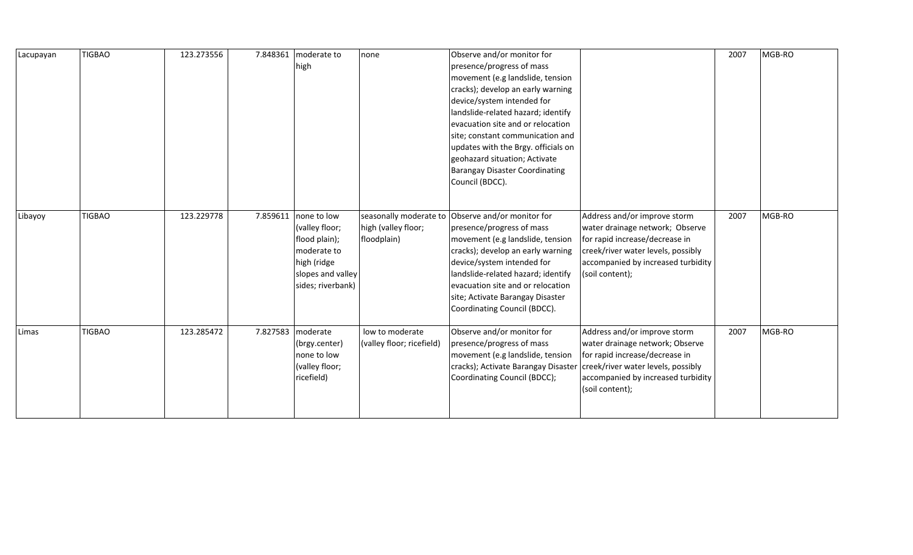| Lacupayan | <b>TIGBAO</b> | 123.273556 | 7.848361 | moderate to<br>high                                                                                                               | none                                         | Observe and/or monitor for<br>presence/progress of mass<br>movement (e.g landslide, tension<br>cracks); develop an early warning<br>device/system intended for<br>landslide-related hazard; identify<br>evacuation site and or relocation<br>site; constant communication and<br>updates with the Brgy. officials on<br>geohazard situation; Activate<br><b>Barangay Disaster Coordinating</b><br>Council (BDCC). |                                                                                                                                                                                                  | 2007 | MGB-RO |
|-----------|---------------|------------|----------|-----------------------------------------------------------------------------------------------------------------------------------|----------------------------------------------|-------------------------------------------------------------------------------------------------------------------------------------------------------------------------------------------------------------------------------------------------------------------------------------------------------------------------------------------------------------------------------------------------------------------|--------------------------------------------------------------------------------------------------------------------------------------------------------------------------------------------------|------|--------|
| Libayoy   | <b>TIGBAO</b> | 123.229778 |          | 7.859611   none to low<br>(valley floor;<br>flood plain);<br>moderate to<br>high (ridge<br>slopes and valley<br>sides; riverbank) | high (valley floor;<br>floodplain)           | seasonally moderate to Observe and/or monitor for<br>presence/progress of mass<br>movement (e.g landslide, tension<br>cracks); develop an early warning<br>device/system intended for<br>landslide-related hazard; identify<br>evacuation site and or relocation<br>site; Activate Barangay Disaster<br>Coordinating Council (BDCC).                                                                              | Address and/or improve storm<br>water drainage network; Observe<br>for rapid increase/decrease in<br>creek/river water levels, possibly<br>accompanied by increased turbidity<br>(soil content); | 2007 | MGB-RO |
| Limas     | <b>TIGBAO</b> | 123.285472 |          | 7.827583   moderate<br>(brgy.center)<br>none to low<br>(valley floor;<br>ricefield)                                               | low to moderate<br>(valley floor; ricefield) | Observe and/or monitor for<br>presence/progress of mass<br>movement (e.g landslide, tension<br>cracks); Activate Barangay Disaster<br>Coordinating Council (BDCC);                                                                                                                                                                                                                                                | Address and/or improve storm<br>water drainage network; Observe<br>for rapid increase/decrease in<br>creek/river water levels, possibly<br>accompanied by increased turbidity<br>(soil content); | 2007 | MGB-RO |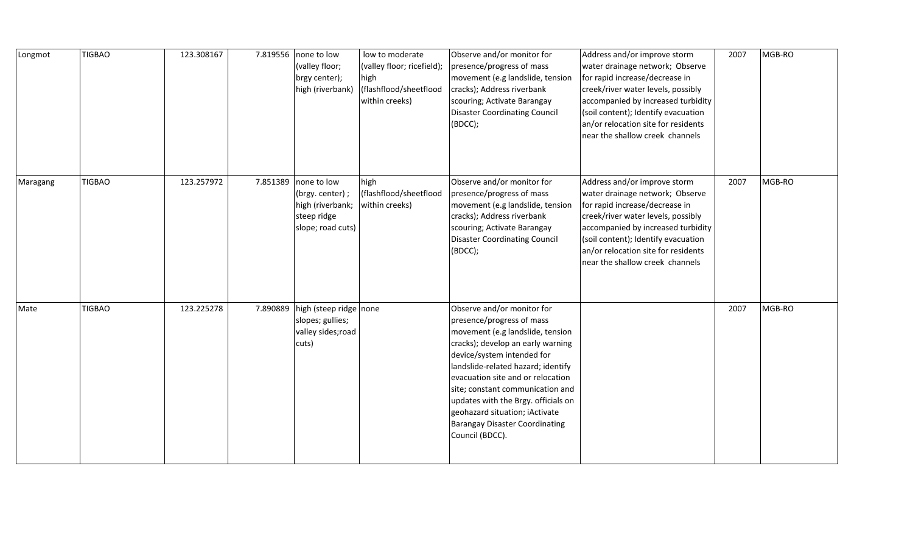| Longmot  | <b>TIGBAO</b> | 123.308167 |          | 7.819556 none to low<br>(valley floor;<br>brgy center);<br>high (riverbank)            | low to moderate<br>(valley floor; ricefield);<br>high<br>(flashflood/sheetflood<br>within creeks) | Observe and/or monitor for<br>presence/progress of mass<br>movement (e.g landslide, tension<br>cracks); Address riverbank<br>scouring; Activate Barangay<br><b>Disaster Coordinating Council</b><br>(BDCC);                                                                                                                                                                                                        | Address and/or improve storm<br>water drainage network; Observe<br>for rapid increase/decrease in<br>creek/river water levels, possibly<br>accompanied by increased turbidity<br>(soil content); Identify evacuation<br>an/or relocation site for residents<br>near the shallow creek channels | 2007 | MGB-RO |
|----------|---------------|------------|----------|----------------------------------------------------------------------------------------|---------------------------------------------------------------------------------------------------|--------------------------------------------------------------------------------------------------------------------------------------------------------------------------------------------------------------------------------------------------------------------------------------------------------------------------------------------------------------------------------------------------------------------|------------------------------------------------------------------------------------------------------------------------------------------------------------------------------------------------------------------------------------------------------------------------------------------------|------|--------|
| Maragang | <b>TIGBAO</b> | 123.257972 | 7.851389 | none to low<br>(brgy. center);<br>high (riverbank;<br>steep ridge<br>slope; road cuts) | high<br>(flashflood/sheetflood<br>within creeks)                                                  | Observe and/or monitor for<br>presence/progress of mass<br>movement (e.g landslide, tension<br>cracks); Address riverbank<br>scouring; Activate Barangay<br><b>Disaster Coordinating Council</b><br>(BDCC);                                                                                                                                                                                                        | Address and/or improve storm<br>water drainage network; Observe<br>for rapid increase/decrease in<br>creek/river water levels, possibly<br>accompanied by increased turbidity<br>(soil content); Identify evacuation<br>an/or relocation site for residents<br>near the shallow creek channels | 2007 | MGB-RO |
| Mate     | <b>TIGBAO</b> | 123.225278 | 7.890889 | high (steep ridge none<br>slopes; gullies;<br>valley sides; road<br>cuts)              |                                                                                                   | Observe and/or monitor for<br>presence/progress of mass<br>movement (e.g landslide, tension<br>cracks); develop an early warning<br>device/system intended for<br>landslide-related hazard; identify<br>evacuation site and or relocation<br>site; constant communication and<br>updates with the Brgy. officials on<br>geohazard situation; iActivate<br><b>Barangay Disaster Coordinating</b><br>Council (BDCC). |                                                                                                                                                                                                                                                                                                | 2007 | MGB-RO |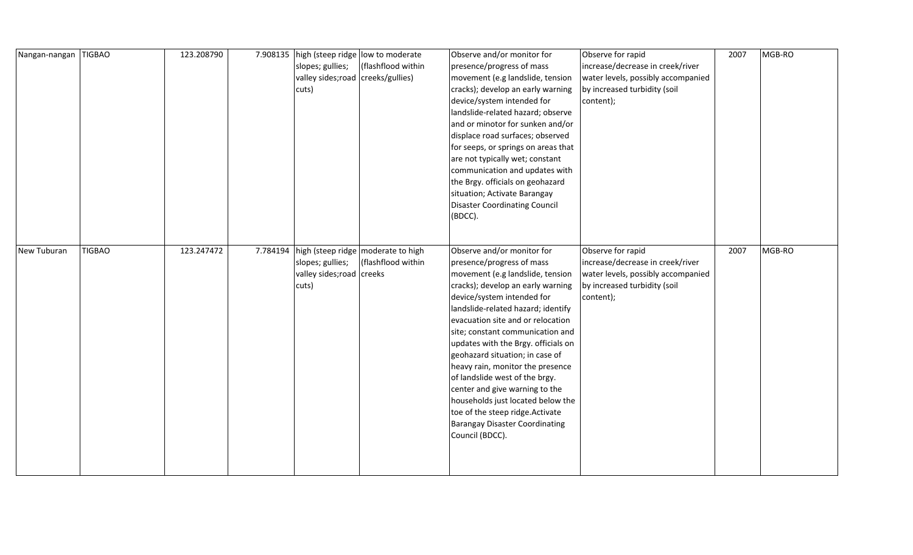| Nangan-nangan | <b>TIGBAO</b> | 123.208790 |          | 7.908135   high (steep ridge   low to moderate |                                      | Observe and/or monitor for           | Observe for rapid                  | 2007 | MGB-RO |
|---------------|---------------|------------|----------|------------------------------------------------|--------------------------------------|--------------------------------------|------------------------------------|------|--------|
|               |               |            |          | slopes; gullies;                               | (flashflood within                   | presence/progress of mass            | increase/decrease in creek/river   |      |        |
|               |               |            |          | valley sides; road   creeks/gullies)           |                                      | movement (e.g landslide, tension     | water levels, possibly accompanied |      |        |
|               |               |            |          | cuts)                                          |                                      | cracks); develop an early warning    | by increased turbidity (soil       |      |        |
|               |               |            |          |                                                |                                      | device/system intended for           | content);                          |      |        |
|               |               |            |          |                                                |                                      | landslide-related hazard; observe    |                                    |      |        |
|               |               |            |          |                                                |                                      | and or minotor for sunken and/or     |                                    |      |        |
|               |               |            |          |                                                |                                      | displace road surfaces; observed     |                                    |      |        |
|               |               |            |          |                                                |                                      | for seeps, or springs on areas that  |                                    |      |        |
|               |               |            |          |                                                |                                      | are not typically wet; constant      |                                    |      |        |
|               |               |            |          |                                                |                                      | communication and updates with       |                                    |      |        |
|               |               |            |          |                                                |                                      | the Brgy. officials on geohazard     |                                    |      |        |
|               |               |            |          |                                                |                                      | situation; Activate Barangay         |                                    |      |        |
|               |               |            |          |                                                |                                      | <b>Disaster Coordinating Council</b> |                                    |      |        |
|               |               |            |          |                                                |                                      | (BDCC).                              |                                    |      |        |
|               |               |            |          |                                                |                                      |                                      |                                    |      |        |
|               |               |            |          |                                                |                                      |                                      |                                    |      |        |
| New Tuburan   | <b>TIGBAO</b> | 123.247472 | 7.784194 |                                                | high (steep ridge   moderate to high | Observe and/or monitor for           | Observe for rapid                  | 2007 | MGB-RO |
|               |               |            |          | slopes; gullies;                               | (flashflood within                   | presence/progress of mass            | increase/decrease in creek/river   |      |        |
|               |               |            |          | valley sides; road creeks                      |                                      | movement (e.g landslide, tension     | water levels, possibly accompanied |      |        |
|               |               |            |          | cuts)                                          |                                      | cracks); develop an early warning    | by increased turbidity (soil       |      |        |
|               |               |            |          |                                                |                                      | device/system intended for           | content);                          |      |        |
|               |               |            |          |                                                |                                      | landslide-related hazard; identify   |                                    |      |        |
|               |               |            |          |                                                |                                      | evacuation site and or relocation    |                                    |      |        |
|               |               |            |          |                                                |                                      | site; constant communication and     |                                    |      |        |
|               |               |            |          |                                                |                                      | updates with the Brgy. officials on  |                                    |      |        |
|               |               |            |          |                                                |                                      | geohazard situation; in case of      |                                    |      |        |
|               |               |            |          |                                                |                                      | heavy rain, monitor the presence     |                                    |      |        |
|               |               |            |          |                                                |                                      | of landslide west of the brgy.       |                                    |      |        |
|               |               |            |          |                                                |                                      | center and give warning to the       |                                    |      |        |
|               |               |            |          |                                                |                                      | households just located below the    |                                    |      |        |
|               |               |            |          |                                                |                                      | toe of the steep ridge. Activate     |                                    |      |        |
|               |               |            |          |                                                |                                      | Barangay Disaster Coordinating       |                                    |      |        |
|               |               |            |          |                                                |                                      | Council (BDCC).                      |                                    |      |        |
|               |               |            |          |                                                |                                      |                                      |                                    |      |        |
|               |               |            |          |                                                |                                      |                                      |                                    |      |        |
|               |               |            |          |                                                |                                      |                                      |                                    |      |        |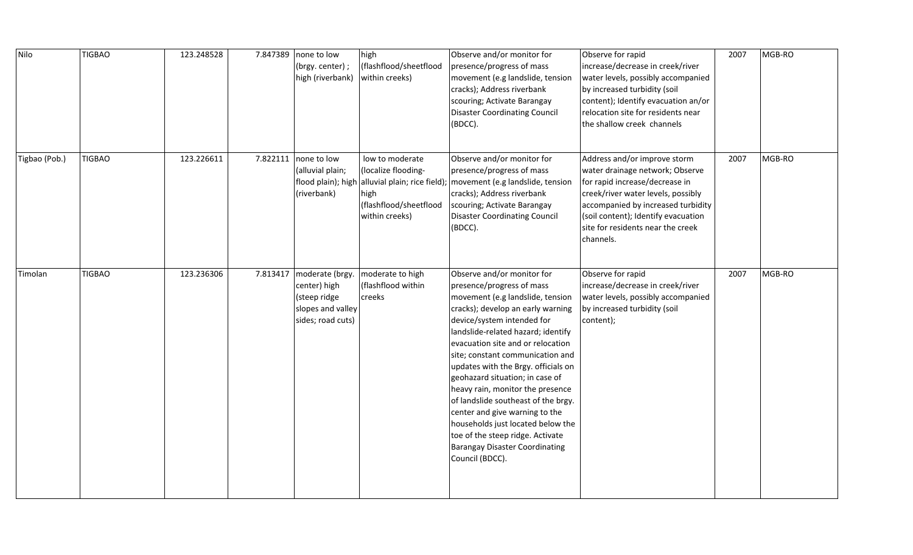| Nilo          | <b>TIGBAO</b> | 123.248528 | 7.847389   none to low<br>(brgy. center);<br>high (riverbank)                                        | high<br>(flashflood/sheetflood<br>within creeks)                                                                           | Observe and/or monitor for<br>presence/progress of mass<br>movement (e.g landslide, tension<br>cracks); Address riverbank<br>scouring; Activate Barangay<br><b>Disaster Coordinating Council</b><br>(BDCC).                                                                                                                                                                                                                                                                                                                                                                                               | Observe for rapid<br>increase/decrease in creek/river<br>water levels, possibly accompanied<br>by increased turbidity (soil<br>content); Identify evacuation an/or<br>relocation site for residents near<br>the shallow creek channels                                 | 2007 | MGB-RO |
|---------------|---------------|------------|------------------------------------------------------------------------------------------------------|----------------------------------------------------------------------------------------------------------------------------|-----------------------------------------------------------------------------------------------------------------------------------------------------------------------------------------------------------------------------------------------------------------------------------------------------------------------------------------------------------------------------------------------------------------------------------------------------------------------------------------------------------------------------------------------------------------------------------------------------------|------------------------------------------------------------------------------------------------------------------------------------------------------------------------------------------------------------------------------------------------------------------------|------|--------|
| Tigbao (Pob.) | <b>TIGBAO</b> | 123.226611 | 7.822111   none to low<br>(alluvial plain;<br>flood plain); high<br>(riverbank)                      | low to moderate<br>(localize flooding-<br>alluvial plain; rice field);<br>high<br>(flashflood/sheetflood<br>within creeks) | Observe and/or monitor for<br>presence/progress of mass<br>movement (e.g landslide, tension<br>cracks); Address riverbank<br>scouring; Activate Barangay<br><b>Disaster Coordinating Council</b><br>(BDCC).                                                                                                                                                                                                                                                                                                                                                                                               | Address and/or improve storm<br>water drainage network; Observe<br>for rapid increase/decrease in<br>creek/river water levels, possibly<br>accompanied by increased turbidity<br>(soil content); Identify evacuation<br>site for residents near the creek<br>channels. | 2007 | MGB-RO |
| Timolan       | <b>TIGBAO</b> | 123.236306 | 7.813417   moderate (brgy.<br>center) high<br>(steep ridge<br>slopes and valley<br>sides; road cuts) | moderate to high<br>(flashflood within<br>creeks                                                                           | Observe and/or monitor for<br>presence/progress of mass<br>movement (e.g landslide, tension<br>cracks); develop an early warning<br>device/system intended for<br>landslide-related hazard; identify<br>evacuation site and or relocation<br>site; constant communication and<br>updates with the Brgy. officials on<br>geohazard situation; in case of<br>heavy rain, monitor the presence<br>of landslide southeast of the brgy.<br>center and give warning to the<br>households just located below the<br>toe of the steep ridge. Activate<br><b>Barangay Disaster Coordinating</b><br>Council (BDCC). | Observe for rapid<br>increase/decrease in creek/river<br>water levels, possibly accompanied<br>by increased turbidity (soil<br>content);                                                                                                                               | 2007 | MGB-RO |